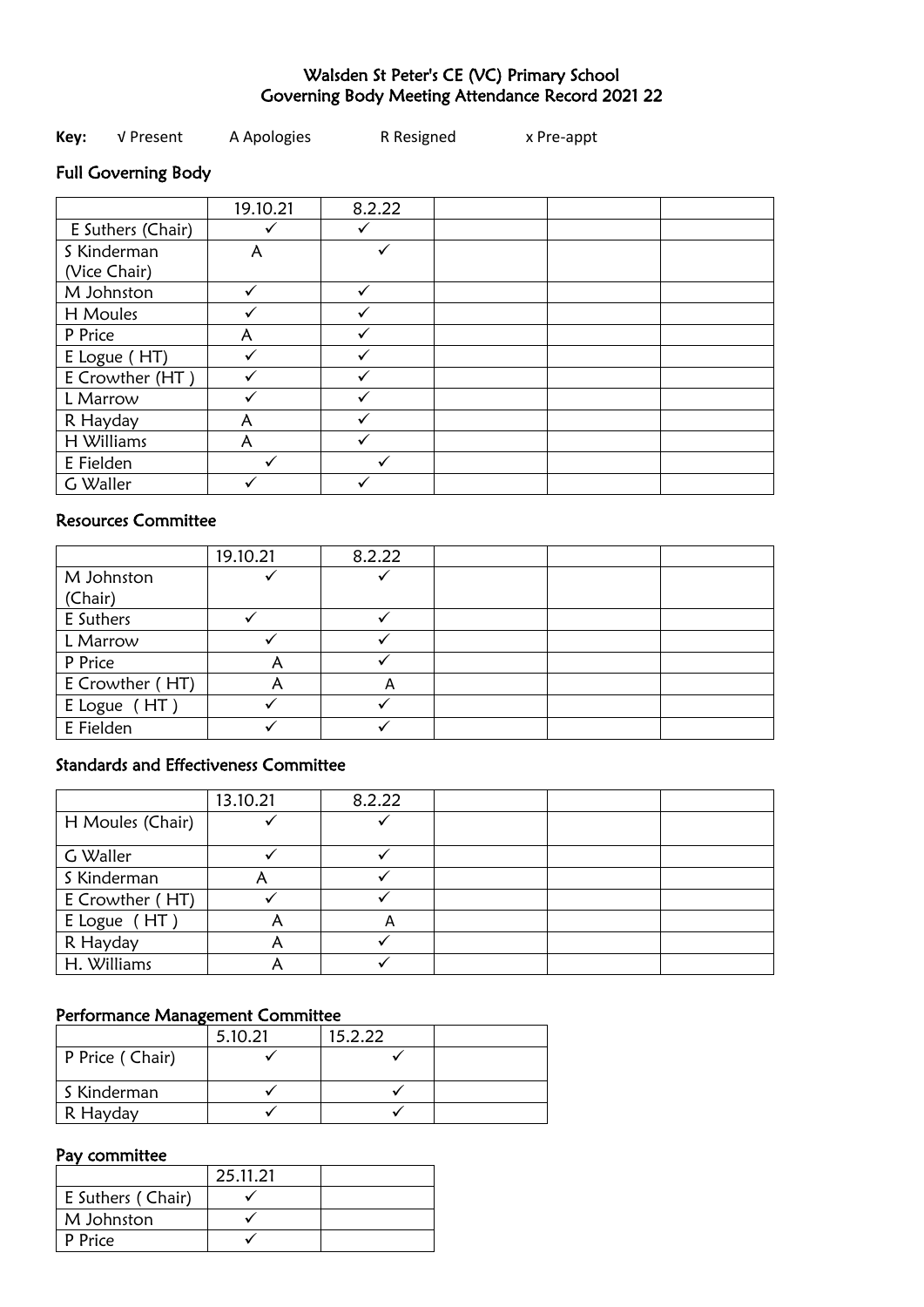## Walsden St Peter's CE (VC) Primary School Governing Body Meeting Attendance Record 2021 22

| Key: | √ Present | A Apologies | R Resigned | x Pre-appt |
|------|-----------|-------------|------------|------------|
|------|-----------|-------------|------------|------------|

# Full Governing Body

|                   | 19.10.21 | 8.2.22 |  |  |
|-------------------|----------|--------|--|--|
| E Suthers (Chair) |          |        |  |  |
| S Kinderman       | A        |        |  |  |
| (Vice Chair)      |          |        |  |  |
| M Johnston        |          | ✓      |  |  |
| H Moules          |          |        |  |  |
| P Price           | А        |        |  |  |
| E Logue (HT)      |          |        |  |  |
| E Crowther (HT)   |          |        |  |  |
| L Marrow          |          |        |  |  |
| R Hayday          | A        |        |  |  |
| H Williams        | A        |        |  |  |
| E Fielden         |          |        |  |  |
| G Waller          |          |        |  |  |

## Resources Committee

|                 | 19.10.21 | 8.2.22 |  |  |
|-----------------|----------|--------|--|--|
| M Johnston      |          |        |  |  |
| (Chair)         |          |        |  |  |
| E Suthers       |          |        |  |  |
| L Marrow        |          |        |  |  |
| P Price         |          |        |  |  |
| E Crowther (HT) |          | A      |  |  |
| E Logue (HT)    |          |        |  |  |
| E Fielden       |          |        |  |  |

## Standards and Effectiveness Committee

|                  | 13.10.21 | 8.2.22 |  |  |
|------------------|----------|--------|--|--|
| H Moules (Chair) |          |        |  |  |
| G Waller         |          |        |  |  |
| S Kinderman      |          |        |  |  |
| E Crowther (HT)  |          |        |  |  |
| E Logue (HT)     |          | A      |  |  |
| R Hayday         |          |        |  |  |
| H. Williams      |          |        |  |  |

### Performance Management Committee

|                 | 5.10.21 | 15.2.22 |  |
|-----------------|---------|---------|--|
| P Price (Chair) |         |         |  |
| S Kinderman     |         |         |  |
| R Hayday        |         |         |  |

### Pay committee

|                   | 25.11.21 |  |
|-------------------|----------|--|
| E Suthers (Chair) |          |  |
| M Johnston        |          |  |
| P Price           |          |  |